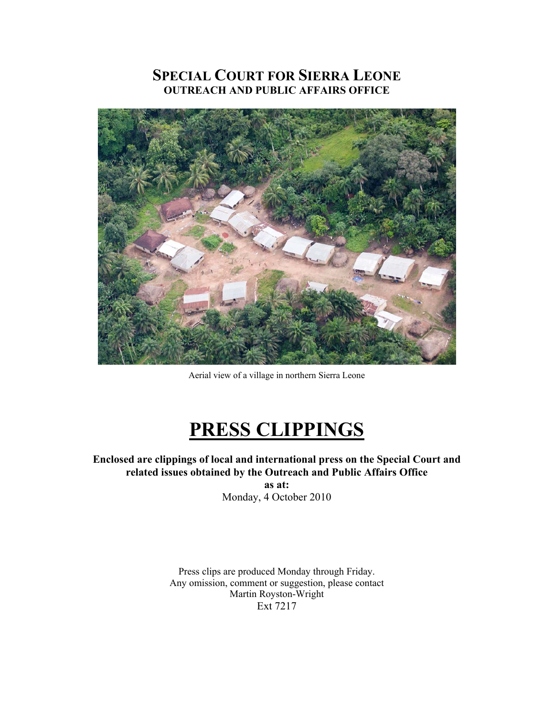# **SPECIAL COURT FOR SIERRA LEONE OUTREACH AND PUBLIC AFFAIRS OFFICE**



Aerial view of a village in northern Sierra Leone

# **PRESS CLIPPINGS**

**Enclosed are clippings of local and international press on the Special Court and related issues obtained by the Outreach and Public Affairs Office** 

**as at:**  Monday, 4 October 2010

Press clips are produced Monday through Friday. Any omission, comment or suggestion, please contact Martin Royston-Wright Ext 7217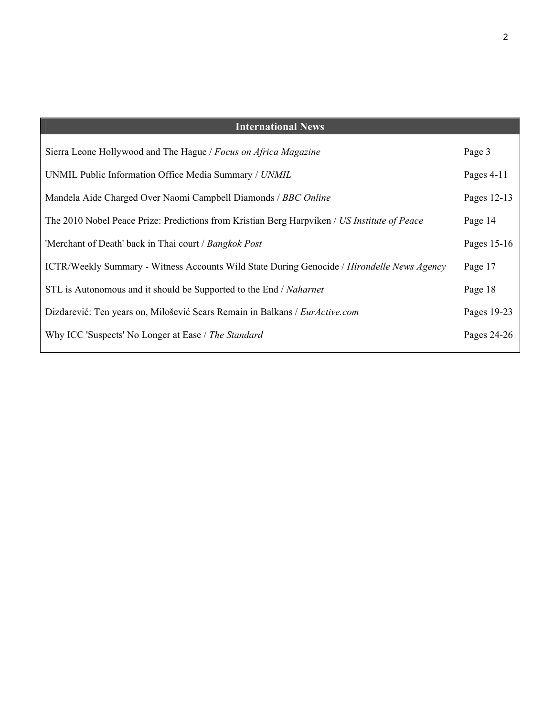| <b>International News</b>                                                                    |             |
|----------------------------------------------------------------------------------------------|-------------|
| Sierra Leone Hollywood and The Hague / Focus on Africa Magazine                              | Page 3      |
| UNMIL Public Information Office Media Summary / UNMIL                                        | Pages 4-11  |
| Mandela Aide Charged Over Naomi Campbell Diamonds / BBC Online                               | Pages 12-13 |
| The 2010 Nobel Peace Prize: Predictions from Kristian Berg Harpviken / US Institute of Peace | Page 14     |
| 'Merchant of Death' back in Thai court / Bangkok Post                                        | Pages 15-16 |
| ICTR/Weekly Summary - Witness Accounts Wild State During Genocide / Hirondelle News Agency   | Page 17     |
| STL is Autonomous and it should be Supported to the End / Naharnet                           | Page 18     |
| Dizdarević: Ten years on, Milošević Scars Remain in Balkans / EurActive.com                  | Pages 19-23 |
| Why ICC 'Suspects' No Longer at Ease / The Standard                                          | Pages 24-26 |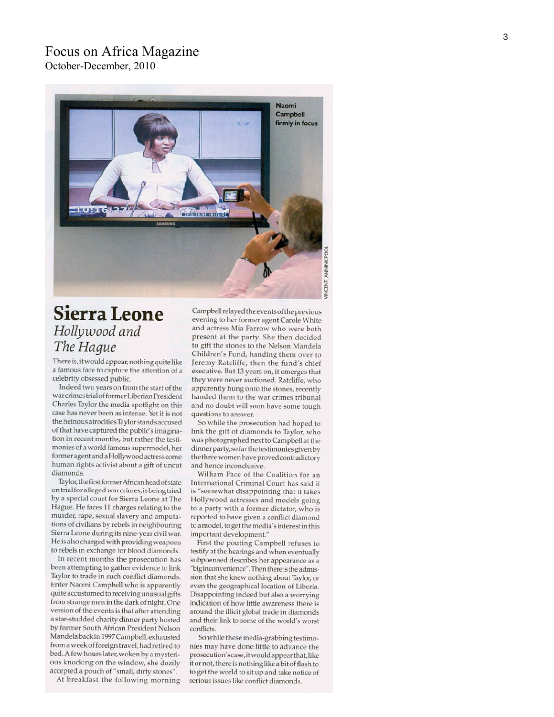# Focus on Africa Magazine October-December, 2010



# **Sierra Leone** Hollywood and The Haque

There is, it would appear, nothing quite like a famous face to capture the attention of a celebrity obsessed public.

Indeed two years on from the start of the war crimes trial of former Liberian President Charles Taylor the media spotlight on this case has never been as intense. Yet it is not the heinous atrocities Taylor stands accused of that have captured the public's imagination in recent months, but rather the testimonies of a world famous supermodel, her former agent and a Hollywood actress come human rights activist about a gift of uncut diamonds.

Taylor, the first former African head of state on trial for alleged war crimes, is being tried by a special court for Sierra Leone at The Hague. He faces 11 charges relating to the murder, rape, sexual slavery and amputations of civilians by rebels in neighbouring Sierra Leone during its nine-year civil war. He is also charged with providing weapons to rebels in exchange for blood diamonds.

In recent months the prosecution has been attempting to gather evidence to link Taylor to trade in such conflict diamonds. Enter Naomi Campbell who is apparently quite accustomed to receiving unusual gifts from strange men in the dark of night. One version of the events is that after attending a star-studded charity dinner party hosted by former South African President Nelson Mandela back in 1997 Campbell, exhausted from a week of foreign travel, had retired to bed. A few hours later, woken by a mysterious knocking on the window, she dozily accepted a pouch of "small, dirty stones".

At breakfast the following morning

Campbell relayed the events of the previous evening to her former agent Carole White and actress Mia Farrow who were both present at the party. She then decided to gift the stones to the Nelson Mandela Children's Fund, handing them over to Jeremy Ratcliffe, then the fund's chief executive. But 13 years on, it emerges that they were never auctioned. Ratcliffe, who apparently hung onto the stones, recently handed them to the war crimes tribunal and no doubt will soon have some tough questions to answer.

So while the prosecution had hoped to link the gift of diamonds to Taylor, who was photographed next to Campbell at the dinner party, so far the testimonies given by the three women have proved contradictory and hence inconclusive.

William Pace of the Coalition for an International Criminal Court has said it is "somewhat disappointing that it takes Hollywood actresses and models going to a party with a former dictator, who is reported to have given a conflict diamond to a model, to get the media's interest in this important development."

First the pouting Campbell refuses to testify at the hearings and when eventually subpoenaed describes her appearance as a "biginconvenience". Then there is the admission that she knew nothing about Taylor, or even the geographical location of Liberia. Disappointing indeed but also a worrying indication of how little awareness there is around the illicit global trade in diamonds and their link to some of the world's worst conflicts.

So while these media-grabbing testimonies may have done little to advance the prosecution's case, it would appear that, like it or not, there is nothing like a bit of flash to to get the world to sit up and take notice of serious issues like conflict diamonds.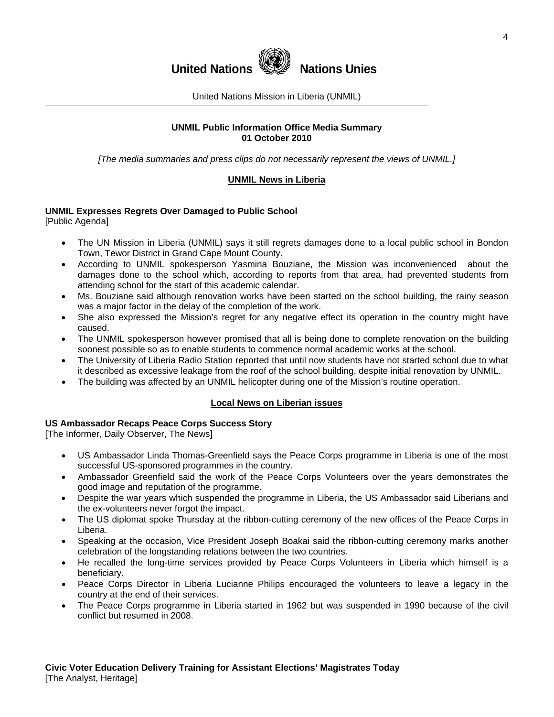

United Nations Mission in Liberia (UNMIL)

#### **UNMIL Public Information Office Media Summary 01 October 2010**

*[The media summaries and press clips do not necessarily represent the views of UNMIL.]* 

#### **UNMIL News in Liberia**

# **UNMIL Expresses Regrets Over Damaged to Public School**

[Public Agenda]

- The UN Mission in Liberia (UNMIL) says it still regrets damages done to a local public school in Bondon Town, Tewor District in Grand Cape Mount County.
- According to UNMIL spokesperson Yasmina Bouziane, the Mission was inconvenienced about the damages done to the school which, according to reports from that area, had prevented students from attending school for the start of this academic calendar.
- Ms. Bouziane said although renovation works have been started on the school building, the rainy season was a major factor in the delay of the completion of the work.
- She also expressed the Mission's regret for any negative effect its operation in the country might have caused.
- The UNMIL spokesperson however promised that all is being done to complete renovation on the building soonest possible so as to enable students to commence normal academic works at the school.
- The University of Liberia Radio Station reported that until now students have not started school due to what it described as excessive leakage from the roof of the school building, despite initial renovation by UNMIL.
- The building was affected by an UNMIL helicopter during one of the Mission's routine operation.

#### **Local News on Liberian issues**

#### **US Ambassador Recaps Peace Corps Success Story**

[The Informer, Daily Observer, The News]

- US Ambassador Linda Thomas-Greenfield says the Peace Corps programme in Liberia is one of the most successful US-sponsored programmes in the country.
- Ambassador Greenfield said the work of the Peace Corps Volunteers over the years demonstrates the good image and reputation of the programme.
- Despite the war years which suspended the programme in Liberia, the US Ambassador said Liberians and the ex-volunteers never forgot the impact.
- The US diplomat spoke Thursday at the ribbon-cutting ceremony of the new offices of the Peace Corps in Liberia.
- Speaking at the occasion, Vice President Joseph Boakai said the ribbon-cutting ceremony marks another celebration of the longstanding relations between the two countries.
- He recalled the long-time services provided by Peace Corps Volunteers in Liberia which himself is a beneficiary.
- Peace Corps Director in Liberia Lucianne Philips encouraged the volunteers to leave a legacy in the country at the end of their services.
- The Peace Corps programme in Liberia started in 1962 but was suspended in 1990 because of the civil conflict but resumed in 2008.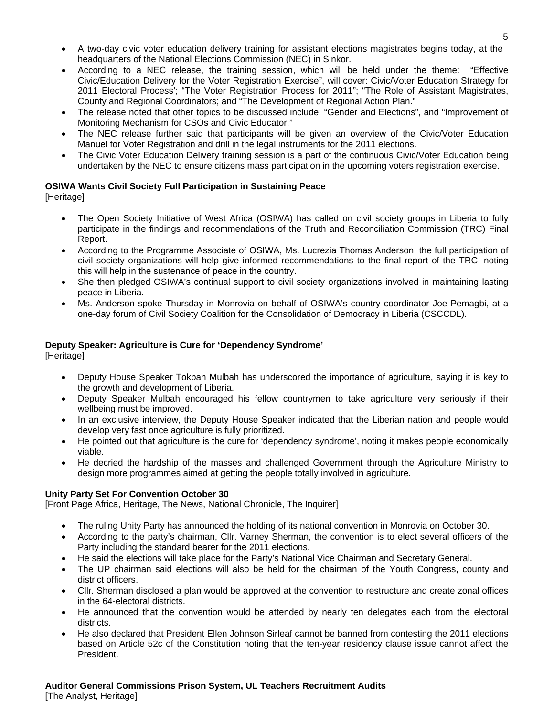- A two-day civic voter education delivery training for assistant elections magistrates begins today, at the headquarters of the National Elections Commission (NEC) in Sinkor.
- According to a NEC release, the training session, which will be held under the theme: "Effective Civic/Education Delivery for the Voter Registration Exercise", will cover: Civic/Voter Education Strategy for 2011 Electoral Process'; "The Voter Registration Process for 2011"; "The Role of Assistant Magistrates, County and Regional Coordinators; and "The Development of Regional Action Plan."
- The release noted that other topics to be discussed include: "Gender and Elections", and "Improvement of Monitoring Mechanism for CSOs and Civic Educator."
- The NEC release further said that participants will be given an overview of the Civic/Voter Education Manuel for Voter Registration and drill in the legal instruments for the 2011 elections.
- The Civic Voter Education Delivery training session is a part of the continuous Civic/Voter Education being undertaken by the NEC to ensure citizens mass participation in the upcoming voters registration exercise.

#### **OSIWA Wants Civil Society Full Participation in Sustaining Peace**

[Heritage]

- The Open Society Initiative of West Africa (OSIWA) has called on civil society groups in Liberia to fully participate in the findings and recommendations of the Truth and Reconciliation Commission (TRC) Final Report.
- According to the Programme Associate of OSIWA, Ms. Lucrezia Thomas Anderson, the full participation of civil society organizations will help give informed recommendations to the final report of the TRC, noting this will help in the sustenance of peace in the country.
- She then pledged OSIWA's continual support to civil society organizations involved in maintaining lasting peace in Liberia.
- Ms. Anderson spoke Thursday in Monrovia on behalf of OSIWA's country coordinator Joe Pemagbi, at a one-day forum of Civil Society Coalition for the Consolidation of Democracy in Liberia (CSCCDL).

# **Deputy Speaker: Agriculture is Cure for 'Dependency Syndrome'**

[Heritage]

- Deputy House Speaker Tokpah Mulbah has underscored the importance of agriculture, saying it is key to the growth and development of Liberia.
- Deputy Speaker Mulbah encouraged his fellow countrymen to take agriculture very seriously if their wellbeing must be improved.
- In an exclusive interview, the Deputy House Speaker indicated that the Liberian nation and people would develop very fast once agriculture is fully prioritized.
- He pointed out that agriculture is the cure for 'dependency syndrome', noting it makes people economically viable.
- He decried the hardship of the masses and challenged Government through the Agriculture Ministry to design more programmes aimed at getting the people totally involved in agriculture.

#### **Unity Party Set For Convention October 30**

[Front Page Africa, Heritage, The News, National Chronicle, The Inquirer]

- The ruling Unity Party has announced the holding of its national convention in Monrovia on October 30.
- According to the party's chairman, Cllr. Varney Sherman, the convention is to elect several officers of the Party including the standard bearer for the 2011 elections.
- He said the elections will take place for the Party's National Vice Chairman and Secretary General.
- The UP chairman said elections will also be held for the chairman of the Youth Congress, county and district officers.
- Cllr. Sherman disclosed a plan would be approved at the convention to restructure and create zonal offices in the 64-electoral districts.
- He announced that the convention would be attended by nearly ten delegates each from the electoral districts.
- He also declared that President Ellen Johnson Sirleaf cannot be banned from contesting the 2011 elections based on Article 52c of the Constitution noting that the ten-year residency clause issue cannot affect the President.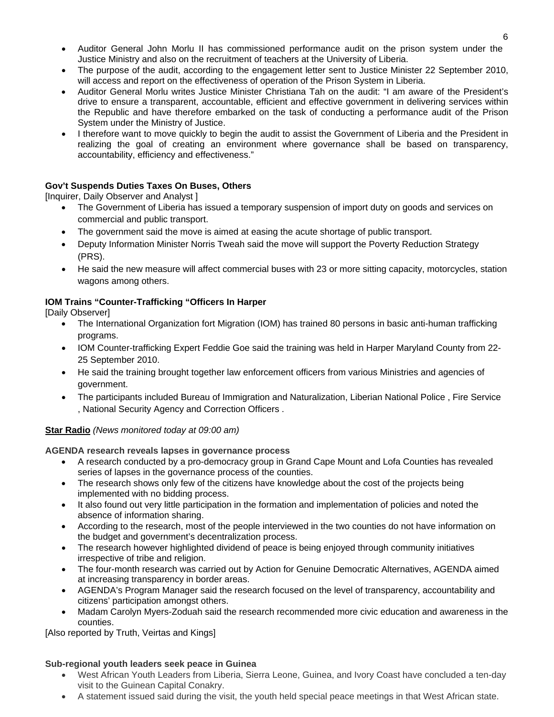- Auditor General John Morlu II has commissioned performance audit on the prison system under the Justice Ministry and also on the recruitment of teachers at the University of Liberia.
- The purpose of the audit, according to the engagement letter sent to Justice Minister 22 September 2010, will access and report on the effectiveness of operation of the Prison System in Liberia.
- Auditor General Morlu writes Justice Minister Christiana Tah on the audit: "I am aware of the President's drive to ensure a transparent, accountable, efficient and effective government in delivering services within the Republic and have therefore embarked on the task of conducting a performance audit of the Prison System under the Ministry of Justice.
- I therefore want to move quickly to begin the audit to assist the Government of Liberia and the President in realizing the goal of creating an environment where governance shall be based on transparency, accountability, efficiency and effectiveness."

### **Gov't Suspends Duties Taxes On Buses, Others**

[Inquirer, Daily Observer and Analyst]

- The Government of Liberia has issued a temporary suspension of import duty on goods and services on commercial and public transport.
- The government said the move is aimed at easing the acute shortage of public transport.
- Deputy Information Minister Norris Tweah said the move will support the Poverty Reduction Strategy (PRS).
- He said the new measure will affect commercial buses with 23 or more sitting capacity, motorcycles, station wagons among others.

### **IOM Trains "Counter-Trafficking "Officers In Harper**

[Daily Observer]

- The International Organization fort Migration (IOM) has trained 80 persons in basic anti-human trafficking programs.
- IOM Counter-trafficking Expert Feddie Goe said the training was held in Harper Maryland County from 22- 25 September 2010.
- He said the training brought together law enforcement officers from various Ministries and agencies of government.
- The participants included Bureau of Immigration and Naturalization, Liberian National Police , Fire Service , National Security Agency and Correction Officers .

#### **Star Radio** *(News monitored today at 09:00 am)*

**AGENDA research reveals lapses in governance process**

- A research conducted by a pro-democracy group in Grand Cape Mount and Lofa Counties has revealed series of lapses in the governance process of the counties.
- The research shows only few of the citizens have knowledge about the cost of the projects being implemented with no bidding process.
- It also found out very little participation in the formation and implementation of policies and noted the absence of information sharing.
- According to the research, most of the people interviewed in the two counties do not have information on the budget and government's decentralization process.
- The research however highlighted dividend of peace is being enjoyed through community initiatives irrespective of tribe and religion.
- The four-month research was carried out by Action for Genuine Democratic Alternatives, AGENDA aimed at increasing transparency in border areas.
- AGENDA's Program Manager said the research focused on the level of transparency, accountability and citizens' participation amongst others.
- Madam Carolyn Myers-Zoduah said the research recommended more civic education and awareness in the counties.

[Also reported by Truth, Veirtas and Kings]

#### **Sub-regional youth leaders seek peace in Guinea**

- West African Youth Leaders from Liberia, Sierra Leone, Guinea, and Ivory Coast have concluded a ten-day visit to the Guinean Capital Conakry.
- A statement issued said during the visit, the youth held special peace meetings in that West African state.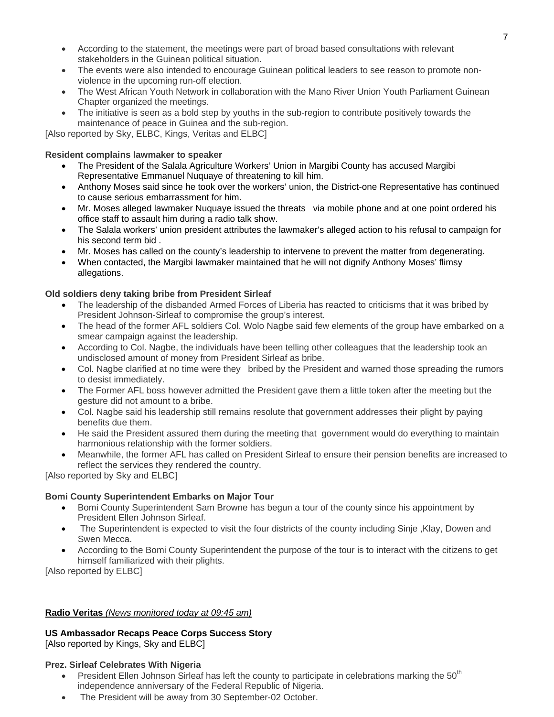- According to the statement, the meetings were part of broad based consultations with relevant stakeholders in the Guinean political situation.
- The events were also intended to encourage Guinean political leaders to see reason to promote nonviolence in the upcoming run-off election.
- The West African Youth Network in collaboration with the Mano River Union Youth Parliament Guinean Chapter organized the meetings.
- The initiative is seen as a bold step by youths in the sub-region to contribute positively towards the maintenance of peace in Guinea and the sub-region.

[Also reported by Sky, ELBC, Kings, Veritas and ELBC]

#### **Resident complains lawmaker to speaker**

- The President of the Salala Agriculture Workers' Union in Margibi County has accused Margibi Representative Emmanuel Nuquaye of threatening to kill him.
- Anthony Moses said since he took over the workers' union, the District-one Representative has continued to cause serious embarrassment for him.
- Mr. Moses alleged lawmaker Nuquaye issued the threats via mobile phone and at one point ordered his office staff to assault him during a radio talk show.
- The Salala workers' union president attributes the lawmaker's alleged action to his refusal to campaign for his second term bid .
- Mr. Moses has called on the county's leadership to intervene to prevent the matter from degenerating.
- When contacted, the Margibi lawmaker maintained that he will not dignify Anthony Moses' flimsy allegations.

#### **Old soldiers deny taking bribe from President Sirleaf**

- The leadership of the disbanded Armed Forces of Liberia has reacted to criticisms that it was bribed by President Johnson-Sirleaf to compromise the group's interest.
- The head of the former AFL soldiers Col. Wolo Nagbe said few elements of the group have embarked on a smear campaign against the leadership.
- According to Col. Nagbe, the individuals have been telling other colleagues that the leadership took an undisclosed amount of money from President Sirleaf as bribe.
- Col. Nagbe clarified at no time were they bribed by the President and warned those spreading the rumors to desist immediately.
- The Former AFL boss however admitted the President gave them a little token after the meeting but the gesture did not amount to a bribe.
- Col. Nagbe said his leadership still remains resolute that government addresses their plight by paying benefits due them.
- He said the President assured them during the meeting that government would do everything to maintain harmonious relationship with the former soldiers.
- Meanwhile, the former AFL has called on President Sirleaf to ensure their pension benefits are increased to reflect the services they rendered the country.

[Also reported by Sky and ELBC]

#### **Bomi County Superintendent Embarks on Major Tour**

- Bomi County Superintendent Sam Browne has begun a tour of the county since his appointment by President Ellen Johnson Sirleaf.
- The Superintendent is expected to visit the four districts of the county including Sinje ,Klay, Dowen and Swen Mecca.
- According to the Bomi County Superintendent the purpose of the tour is to interact with the citizens to get himself familiarized with their plights.

[Also reported by ELBC]

### **Radio Veritas** *(News monitored today at 09:45 am)*

### **US Ambassador Recaps Peace Corps Success Story**

[Also reported by Kings, Sky and ELBC]

#### **Prez. Sirleaf Celebrates With Nigeria**

- President Ellen Johnson Sirleaf has left the county to participate in celebrations marking the  $50<sup>th</sup>$ independence anniversary of the Federal Republic of Nigeria.
- The President will be away from 30 September-02 October.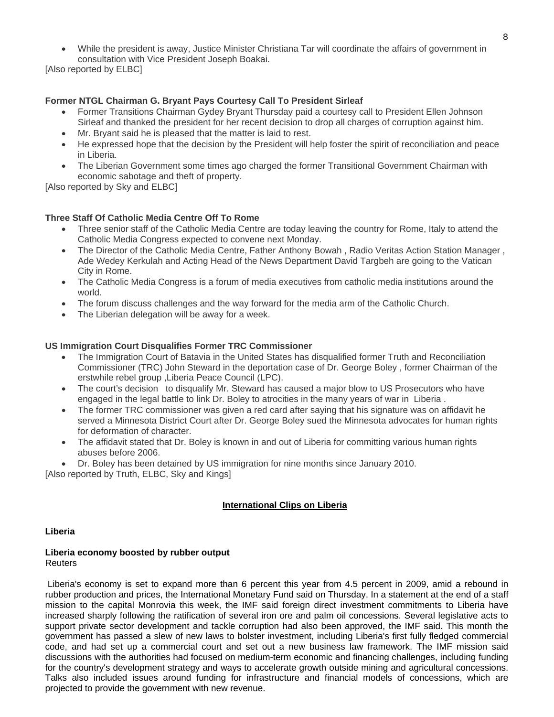• While the president is away, Justice Minister Christiana Tar will coordinate the affairs of government in consultation with Vice President Joseph Boakai.

[Also reported by ELBC]

#### **Former NTGL Chairman G. Bryant Pays Courtesy Call To President Sirleaf**

- Former Transitions Chairman Gydey Bryant Thursday paid a courtesy call to President Ellen Johnson Sirleaf and thanked the president for her recent decision to drop all charges of corruption against him.
- Mr. Bryant said he is pleased that the matter is laid to rest.
- He expressed hope that the decision by the President will help foster the spirit of reconciliation and peace in Liberia.
- The Liberian Government some times ago charged the former Transitional Government Chairman with economic sabotage and theft of property.

[Also reported by Sky and ELBC]

#### **Three Staff Of Catholic Media Centre Off To Rome**

- Three senior staff of the Catholic Media Centre are today leaving the country for Rome, Italy to attend the Catholic Media Congress expected to convene next Monday.
- The Director of the Catholic Media Centre, Father Anthony Bowah , Radio Veritas Action Station Manager , Ade Wedey Kerkulah and Acting Head of the News Department David Targbeh are going to the Vatican City in Rome.
- The Catholic Media Congress is a forum of media executives from catholic media institutions around the world.
- The forum discuss challenges and the way forward for the media arm of the Catholic Church.
- The Liberian delegation will be away for a week.

#### **US Immigration Court Disqualifies Former TRC Commissioner**

- The Immigration Court of Batavia in the United States has disqualified former Truth and Reconciliation Commissioner (TRC) John Steward in the deportation case of Dr. George Boley , former Chairman of the erstwhile rebel group ,Liberia Peace Council (LPC).
- The court's decision to disqualify Mr. Steward has caused a major blow to US Prosecutors who have engaged in the legal battle to link Dr. Boley to atrocities in the many years of war in Liberia .
- The former TRC commissioner was given a red card after saying that his signature was on affidavit he served a Minnesota District Court after Dr. George Boley sued the Minnesota advocates for human rights for deformation of character.
- The affidavit stated that Dr. Boley is known in and out of Liberia for committing various human rights abuses before 2006.
- Dr. Boley has been detained by US immigration for nine months since January 2010.

[Also reported by Truth, ELBC, Sky and Kings]

# **International Clips on Liberia**

#### **Liberia**

# **Liberia economy boosted by rubber output**

**Reuters** 

 Liberia's economy is set to expand more than 6 percent this year from 4.5 percent in 2009, amid a rebound in rubber production and prices, the International Monetary Fund said on Thursday. In a statement at the end of a staff mission to the capital Monrovia this week, the IMF said foreign direct investment commitments to Liberia have increased sharply following the ratification of several iron ore and palm oil concessions. Several legislative acts to support private sector development and tackle corruption had also been approved, the IMF said. This month the government has passed a slew of new laws to bolster investment, including Liberia's first fully fledged commercial code, and had set up a commercial court and set out a new business law framework. The IMF mission said discussions with the authorities had focused on medium-term economic and financing challenges, including funding for the country's development strategy and ways to accelerate growth outside mining and agricultural concessions. Talks also included issues around funding for infrastructure and financial models of concessions, which are projected to provide the government with new revenue.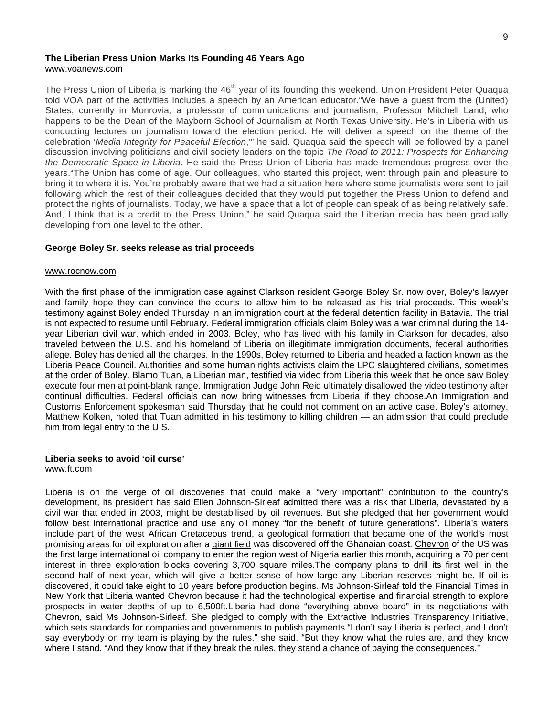#### **The Liberian Press Union Marks Its Founding 46 Years Ago**  www.voanews.com

The Press Union of Liberia is marking the 46<sup>th</sup> year of its founding this weekend. Union President Peter Quaqua told VOA part of the activities includes a speech by an American educator."We have a guest from the (United) States, currently in Monrovia, a professor of communications and journalism, Professor Mitchell Land, who happens to be the Dean of the Mayborn School of Journalism at North Texas University. He's in Liberia with us conducting lectures on journalism toward the election period. He will deliver a speech on the theme of the celebration '*Media Integrity for Peaceful Election*,'" he said. Quaqua said the speech will be followed by a panel discussion involving politicians and civil society leaders on the topic *The Road to 2011: Prospects for Enhancing the Democratic Space in Liberia*. He said the Press Union of Liberia has made tremendous progress over the years."The Union has come of age. Our colleagues, who started this project, went through pain and pleasure to bring it to where it is. You're probably aware that we had a situation here where some journalists were sent to jail following which the rest of their colleagues decided that they would put together the Press Union to defend and protect the rights of journalists. Today, we have a space that a lot of people can speak of as being relatively safe. And, I think that is a credit to the Press Union," he said.Quaqua said the Liberian media has been gradually developing from one level to the other.

#### **George Boley Sr. seeks release as trial proceeds**

#### [www.rocnow.com](http://www.rocnow.com/)

With the first phase of the immigration case against Clarkson resident George Boley Sr. now over, Boley's lawyer and family hope they can convince the courts to allow him to be released as his trial proceeds. This week's testimony against Boley ended Thursday in an immigration court at the federal detention facility in Batavia. The trial is not expected to resume until February. Federal immigration officials claim Boley was a war criminal during the 14 year Liberian civil war, which ended in 2003. Boley, who has lived with his family in Clarkson for decades, also traveled between the U.S. and his homeland of Liberia on illegitimate immigration documents, federal authorities allege. Boley has denied all the charges. In the 1990s, Boley returned to Liberia and headed a faction known as the Liberia Peace Council. Authorities and some human rights activists claim the LPC slaughtered civilians, sometimes at the order of Boley. Blamo Tuan, a Liberian man, testified via video from Liberia this week that he once saw Boley execute four men at point-blank range. Immigration Judge John Reid ultimately disallowed the video testimony after continual difficulties. Federal officials can now bring witnesses from Liberia if they choose.An Immigration and Customs Enforcement spokesman said Thursday that he could not comment on an active case. Boley's attorney, Matthew Kolken, noted that Tuan admitted in his testimony to killing children — an admission that could preclude him from legal entry to the U.S.

#### **Liberia seeks to avoid 'oil curse'**

www.ft.com

Liberia is on the verge of oil discoveries that could make a "very important" contribution to the country's development, its president has said.Ellen Johnson-Sirleaf admitted there was a risk that Liberia, devastated by a civil war that ended in 2003, might be destabilised by oil revenues. But she pledged that her government would follow best international practice and use any oil money "for the benefit of future generations". Liberia's waters include part of the west African Cretaceous trend, a geological formation that became one of the world's most promising areas for oil exploration after a [giant field](http://www.ft.com/cms/s/0/28ed19fc-fbca-11de-9c29-00144feab49a.html) was discovered off the Ghanaian coast. [Chevron](http://markets.ft.com/tearsheets/performance.asp?s=us:CVX) of the US was the first large international oil company to enter the region west of Nigeria earlier this month, acquiring a 70 per cent interest in three exploration blocks covering 3,700 square miles.The company plans to drill its first well in the second half of next year, which will give a better sense of how large any Liberian reserves might be. If oil is discovered, it could take eight to 10 years before production begins. Ms Johnson-Sirleaf told the Financial Times in New York that Liberia wanted Chevron because it had the technological expertise and financial strength to explore prospects in water depths of up to 6,500ft.Liberia had done "everything above board" in its negotiations with Chevron, said Ms Johnson-Sirleaf. She pledged to comply with the Extractive Industries Transparency Initiative, which sets standards for companies and governments to publish payments."I don't say Liberia is perfect, and I don't say everybody on my team is playing by the rules," she said. "But they know what the rules are, and they know where I stand. "And they know that if they break the rules, they stand a chance of paying the consequences."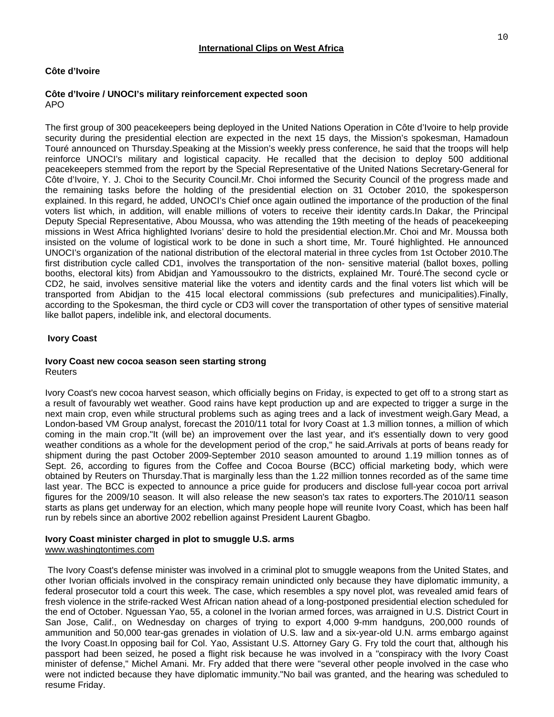#### **Côte d'Ivoire**

#### **Côte d'Ivoire / UNOCI's military reinforcement expected soon**  APO

The first group of 300 peacekeepers being deployed in the United Nations Operation in Côte d'Ivoire to help provide security during the presidential election are expected in the next 15 days, the Mission's spokesman, Hamadoun Touré announced on Thursday.Speaking at the Mission's weekly press conference, he said that the troops will help reinforce UNOCI's military and logistical capacity. He recalled that the decision to deploy 500 additional peacekeepers stemmed from the report by the Special Representative of the United Nations Secretary-General for Côte d'Ivoire, Y. J. Choi to the Security Council.Mr. Choi informed the Security Council of the progress made and the remaining tasks before the holding of the presidential election on 31 October 2010, the spokesperson explained. In this regard, he added, UNOCI's Chief once again outlined the importance of the production of the final voters list which, in addition, will enable millions of voters to receive their identity cards.In Dakar, the Principal Deputy Special Representative, Abou Moussa, who was attending the 19th meeting of the heads of peacekeeping missions in West Africa highlighted Ivorians' desire to hold the presidential election.Mr. Choi and Mr. Moussa both insisted on the volume of logistical work to be done in such a short time, Mr. Touré highlighted. He announced UNOCI's organization of the national distribution of the electoral material in three cycles from 1st October 2010.The first distribution cycle called CD1, involves the transportation of the non- sensitive material (ballot boxes, polling booths, electoral kits) from Abidjan and Yamoussoukro to the districts, explained Mr. Touré.The second cycle or CD2, he said, involves sensitive material like the voters and identity cards and the final voters list which will be transported from Abidjan to the 415 local electoral commissions (sub prefectures and municipalities).Finally, according to the Spokesman, the third cycle or CD3 will cover the transportation of other types of sensitive material like ballot papers, indelible ink, and electoral documents.

#### **Ivory Coast**

#### **Ivory Coast new cocoa season seen starting strong**  Reuters

Ivory Coast's new cocoa harvest season, which officially begins on Friday, is expected to get off to a strong start as a result of favourably wet weather. Good rains have kept production up and are expected to trigger a surge in the next main crop, even while structural problems such as aging trees and a lack of investment weigh.Gary Mead, a London-based VM Group analyst, forecast the 2010/11 total for Ivory Coast at 1.3 million tonnes, a million of which coming in the main crop."It (will be) an improvement over the last year, and it's essentially down to very good weather conditions as a whole for the development period of the crop," he said.Arrivals at ports of beans ready for shipment during the past October 2009-September 2010 season amounted to around 1.19 million tonnes as of Sept. 26, according to figures from the Coffee and Cocoa Bourse (BCC) official marketing body, which were obtained by Reuters on Thursday.That is marginally less than the 1.22 million tonnes recorded as of the same time last year. The BCC is expected to announce a price guide for producers and disclose full-year cocoa port arrival figures for the 2009/10 season. It will also release the new season's tax rates to exporters.The 2010/11 season starts as plans get underway for an election, which many people hope will reunite Ivory Coast, which has been half run by rebels since an abortive 2002 rebellion against President Laurent Gbagbo.

#### **Ivory Coast minister charged in plot to smuggle U.S. arms**

#### [www.washingtontimes.com](http://www.washingtontimes.com/)

 The Ivory Coast's defense minister was involved in a criminal plot to smuggle weapons from the United States, and other Ivorian officials involved in the conspiracy remain unindicted only because they have diplomatic immunity, a federal prosecutor told a court this week. The case, which resembles a spy novel plot, was revealed amid fears of fresh violence in the strife-racked West African nation ahead of a long-postponed presidential election scheduled for the end of October. Nguessan Yao, 55, a colonel in the Ivorian armed forces, was arraigned in U.S. District Court in San Jose, Calif., on Wednesday on charges of trying to export 4,000 9-mm handguns, 200,000 rounds of ammunition and 50,000 tear-gas grenades in violation of U.S. law and a six-year-old U.N. arms embargo against the Ivory Coast.In opposing bail for Col. Yao, Assistant U.S. Attorney Gary G. Fry told the court that, although his passport had been seized, he posed a flight risk because he was involved in a "conspiracy with the Ivory Coast minister of defense," Michel Amani. Mr. Fry added that there were "several other people involved in the case who were not indicted because they have diplomatic immunity."No bail was granted, and the hearing was scheduled to resume Friday.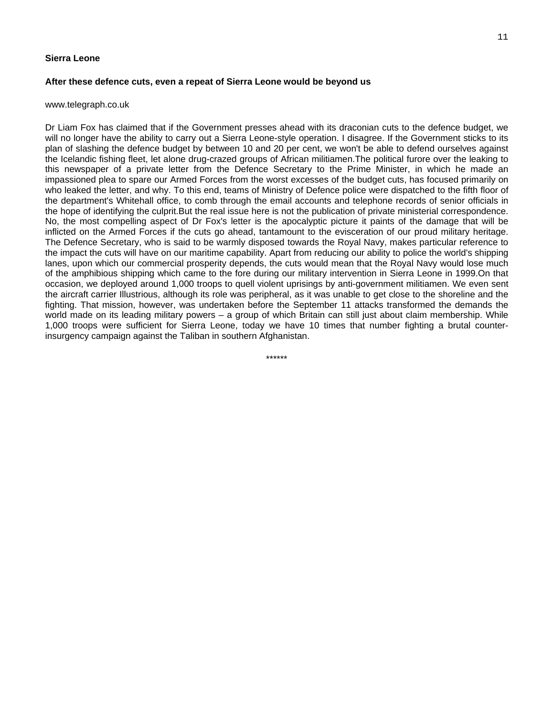#### **Sierra Leone**

#### **After these defence cuts, even a repeat of Sierra Leone would be beyond us**

#### www.telegraph.co.uk

Dr Liam Fox has claimed that if the Government presses ahead with its draconian cuts to the defence budget, we will no longer have the ability to carry out a Sierra Leone-style operation. I disagree. If the Government sticks to its plan of slashing the defence budget by between 10 and 20 per cent, we won't be able to defend ourselves against the Icelandic fishing fleet, let alone drug-crazed groups of African militiamen.The political furore over the leaking to this newspaper of a private letter from the Defence Secretary to the Prime Minister, in which he made an impassioned plea to spare our Armed Forces from the worst excesses of the budget cuts, has focused primarily on who leaked the letter, and why. To this end, teams of Ministry of Defence police were dispatched to the fifth floor of the department's Whitehall office, to comb through the email accounts and telephone records of senior officials in the hope of identifying the culprit.But the real issue here is not the publication of private ministerial correspondence. No, the most compelling aspect of Dr Fox's letter is the apocalyptic picture it paints of the damage that will be inflicted on the Armed Forces if the cuts go ahead, tantamount to the evisceration of our proud military heritage. The Defence Secretary, who is said to be warmly disposed towards the Royal Navy, makes particular reference to the impact the cuts will have on our maritime capability. Apart from reducing our ability to police the world's shipping lanes, upon which our commercial prosperity depends, the cuts would mean that the Royal Navy would lose much of the amphibious shipping which came to the fore during our military intervention in Sierra Leone in 1999.On that occasion, we deployed around 1,000 troops to quell violent uprisings by anti-government militiamen. We even sent the aircraft carrier Illustrious, although its role was peripheral, as it was unable to get close to the shoreline and the fighting. That mission, however, was undertaken before the September 11 attacks transformed the demands the world made on its leading military powers – a group of which Britain can still just about claim membership. While 1,000 troops were sufficient for Sierra Leone, today we have 10 times that number fighting a brutal counterinsurgency campaign against the Taliban in southern Afghanistan.

\*\*\*\*\*\*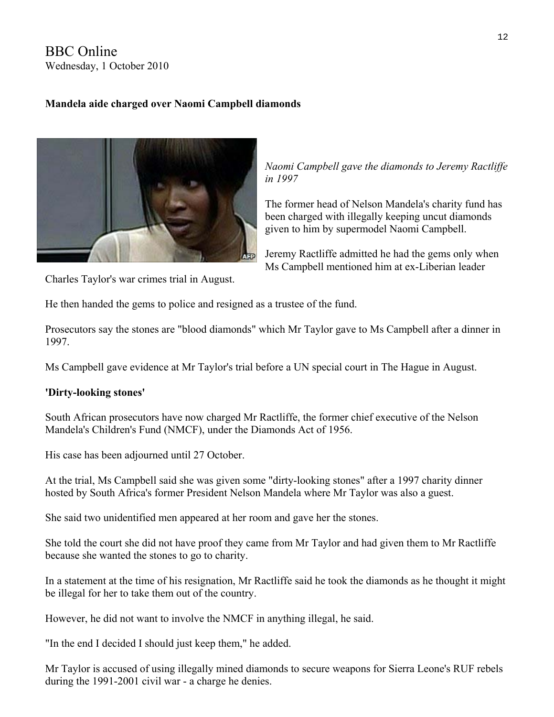# BBC Online Wednesday, 1 October 2010

# **Mandela aide charged over Naomi Campbell diamonds**



*Naomi Campbell gave the diamonds to Jeremy Ractliffe in 1997* 

The former head of Nelson Mandela's charity fund has been charged with illegally keeping uncut diamonds given to him by supermodel Naomi Campbell.

Jeremy Ractliffe admitted he had the gems only when Ms Campbell mentioned him at ex-Liberian leader

Charles Taylor's war crimes trial in August.

He then handed the gems to police and resigned as a trustee of the fund.

Prosecutors say the stones are "blood diamonds" which Mr Taylor gave to Ms Campbell after a dinner in 1997.

Ms Campbell gave evidence at Mr Taylor's trial before a UN special court in The Hague in August.

# **'Dirty-looking stones'**

South African prosecutors have now charged Mr Ractliffe, the former chief executive of the Nelson Mandela's Children's Fund (NMCF), under the Diamonds Act of 1956.

His case has been adjourned until 27 October.

At the trial, Ms Campbell said she was given some "dirty-looking stones" after a 1997 charity dinner hosted by South Africa's former President Nelson Mandela where Mr Taylor was also a guest.

She said two unidentified men appeared at her room and gave her the stones.

She told the court she did not have proof they came from Mr Taylor and had given them to Mr Ractliffe because she wanted the stones to go to charity.

In a statement at the time of his resignation, Mr Ractliffe said he took the diamonds as he thought it might be illegal for her to take them out of the country.

However, he did not want to involve the NMCF in anything illegal, he said.

"In the end I decided I should just keep them," he added.

Mr Taylor is accused of using illegally mined diamonds to secure weapons for Sierra Leone's RUF rebels during the 1991-2001 civil war - a charge he denies.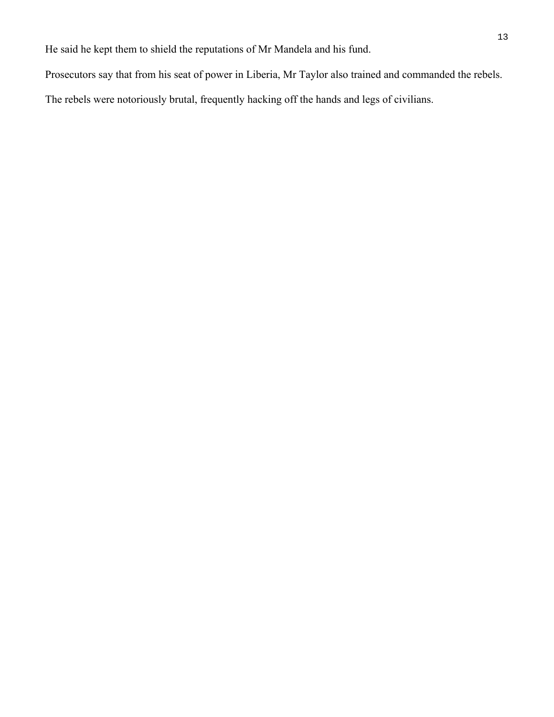Prosecutors say that from his seat of power in Liberia, Mr Taylor also trained and commanded the rebels.

The rebels were notoriously brutal, frequently hacking off the hands and legs of civilians.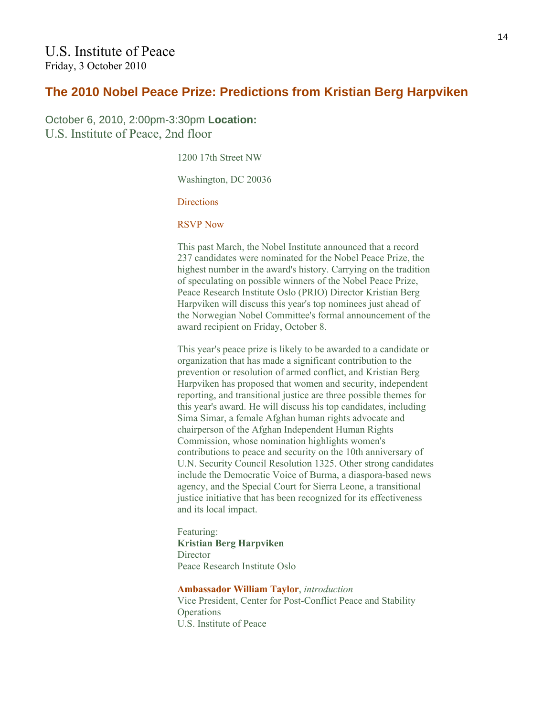# **The 2010 Nobel Peace Prize: Predictions from Kristian Berg Harpviken**

October 6, 2010, 2:00pm-3:30pm **Location:** U.S. Institute of Peace, 2nd floor

1200 17th Street NW

Washington, DC 20036

**Directions** 

RSVP Now

This past March, the Nobel Institute announced that a record 237 candidates were nominated for the Nobel Peace Prize, the highest number in the award's history. Carrying on the tradition of speculating on possible winners of the Nobel Peace Prize, Peace Research Institute Oslo (PRIO) Director Kristian Berg Harpviken will discuss this year's top nominees just ahead of the Norwegian Nobel Committee's formal announcement of the award recipient on Friday, October 8.

This year's peace prize is likely to be awarded to a candidate or organization that has made a significant contribution to the prevention or resolution of armed conflict, and Kristian Berg Harpviken has proposed that women and security, independent reporting, and transitional justice are three possible themes for this year's award. He will discuss his top candidates, including Sima Simar, a female Afghan human rights advocate and chairperson of the Afghan Independent Human Rights Commission, whose nomination highlights women's contributions to peace and security on the 10th anniversary of U.N. Security Council Resolution 1325. Other strong candidates include the Democratic Voice of Burma, a diaspora-based news agency, and the Special Court for Sierra Leone, a transitional justice initiative that has been recognized for its effectiveness and its local impact.

Featuring: **Kristian Berg Harpviken Director** Peace Research Institute Oslo

**Ambassador William Taylor**, *introduction* Vice President, Center for Post-Conflict Peace and Stability **Operations** U.S. Institute of Peace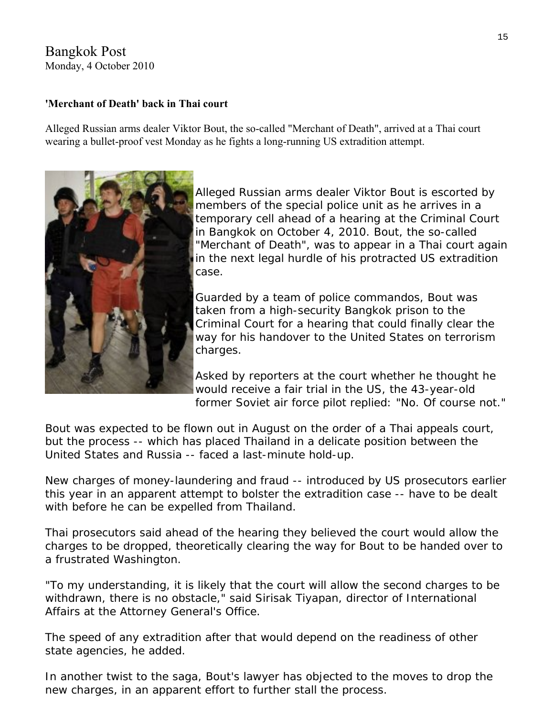# Bangkok Post Monday, 4 October 2010

# **'Merchant of Death' back in Thai court**

Alleged Russian arms dealer Viktor Bout, the so-called "Merchant of Death", arrived at a Thai court wearing a bullet-proof vest Monday as he fights a long-running US extradition attempt.



Alleged Russian arms dealer Viktor Bout is escorted by members of the special police unit as he arrives in a temporary cell ahead of a hearing at the Criminal Court in Bangkok on October 4, 2010. Bout, the so-called "Merchant of Death", was to appear in a Thai court again in the next legal hurdle of his protracted US extradition case.

Guarded by a team of police commandos, Bout was taken from a high-security Bangkok prison to the Criminal Court for a hearing that could finally clear the way for his handover to the United States on terrorism charges.

Asked by reporters at the court whether he thought he would receive a fair trial in the US, the 43-year-old former Soviet air force pilot replied: "No. Of course not."

Bout was expected to be flown out in August on the order of a Thai appeals court, but the process -- which has placed Thailand in a delicate position between the United States and Russia -- faced a last-minute hold-up.

New charges of money-laundering and fraud -- introduced by US prosecutors earlier this year in an apparent attempt to bolster the extradition case -- have to be dealt with before he can be expelled from Thailand.

Thai prosecutors said ahead of the hearing they believed the court would allow the charges to be dropped, theoretically clearing the way for Bout to be handed over to a frustrated Washington.

"To my understanding, it is likely that the court will allow the second charges to be withdrawn, there is no obstacle," said Sirisak Tiyapan, director of International Affairs at the Attorney General's Office.

The speed of any extradition after that would depend on the readiness of other state agencies, he added.

In another twist to the saga, Bout's lawyer has objected to the moves to drop the new charges, in an apparent effort to further stall the process.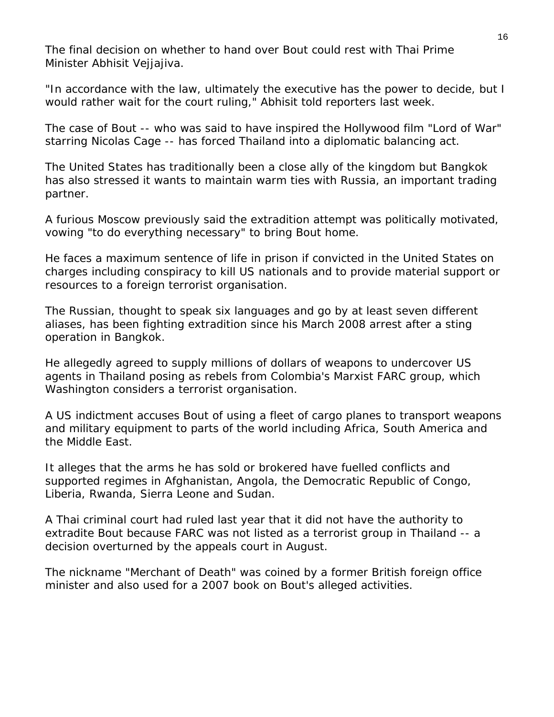The final decision on whether to hand over Bout could rest with Thai Prime Minister Abhisit Vejjajiva.

"In accordance with the law, ultimately the executive has the power to decide, but I would rather wait for the court ruling," Abhisit told reporters last week.

The case of Bout -- who was said to have inspired the Hollywood film "Lord of War" starring Nicolas Cage -- has forced Thailand into a diplomatic balancing act.

The United States has traditionally been a close ally of the kingdom but Bangkok has also stressed it wants to maintain warm ties with Russia, an important trading partner.

A furious Moscow previously said the extradition attempt was politically motivated, vowing "to do everything necessary" to bring Bout home.

He faces a maximum sentence of life in prison if convicted in the United States on charges including conspiracy to kill US nationals and to provide material support or resources to a foreign terrorist organisation.

The Russian, thought to speak six languages and go by at least seven different aliases, has been fighting extradition since his March 2008 arrest after a sting operation in Bangkok.

He allegedly agreed to supply millions of dollars of weapons to undercover US agents in Thailand posing as rebels from Colombia's Marxist FARC group, which Washington considers a terrorist organisation.

A US indictment accuses Bout of using a fleet of cargo planes to transport weapons and military equipment to parts of the world including Africa, South America and the Middle East.

It alleges that the arms he has sold or brokered have fuelled conflicts and supported regimes in Afghanistan, Angola, the Democratic Republic of Congo, Liberia, Rwanda, Sierra Leone and Sudan.

A Thai criminal court had ruled last year that it did not have the authority to extradite Bout because FARC was not listed as a terrorist group in Thailand -- a decision overturned by the appeals court in August.

The nickname "Merchant of Death" was coined by a former British foreign office minister and also used for a 2007 book on Bout's alleged activities.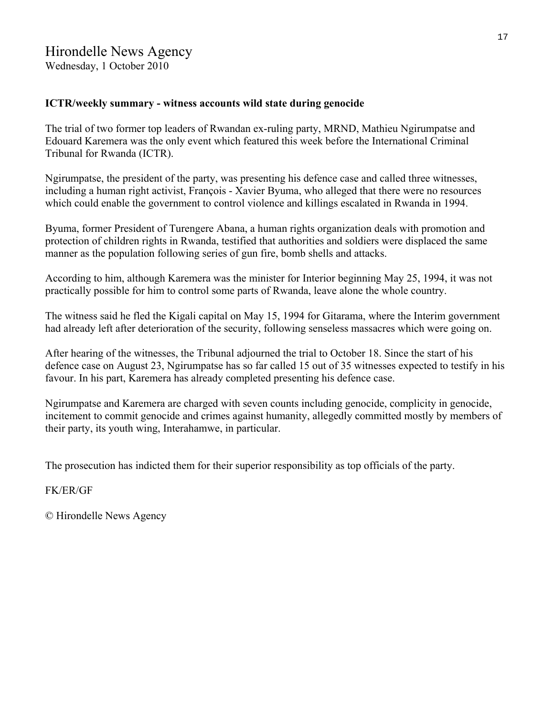### **ICTR/weekly summary - witness accounts wild state during genocide**

The trial of two former top leaders of Rwandan ex-ruling party, MRND, Mathieu Ngirumpatse and Edouard Karemera was the only event which featured this week before the International Criminal Tribunal for Rwanda (ICTR).

Ngirumpatse, the president of the party, was presenting his defence case and called three witnesses, including a human right activist, François - Xavier Byuma, who alleged that there were no resources which could enable the government to control violence and killings escalated in Rwanda in 1994.

Byuma, former President of Turengere Abana, a human rights organization deals with promotion and protection of children rights in Rwanda, testified that authorities and soldiers were displaced the same manner as the population following series of gun fire, bomb shells and attacks.

According to him, although Karemera was the minister for Interior beginning May 25, 1994, it was not practically possible for him to control some parts of Rwanda, leave alone the whole country.

The witness said he fled the Kigali capital on May 15, 1994 for Gitarama, where the Interim government had already left after deterioration of the security, following senseless massacres which were going on.

After hearing of the witnesses, the Tribunal adjourned the trial to October 18. Since the start of his defence case on August 23, Ngirumpatse has so far called 15 out of 35 witnesses expected to testify in his favour. In his part, Karemera has already completed presenting his defence case.

Ngirumpatse and Karemera are charged with seven counts including genocide, complicity in genocide, incitement to commit genocide and crimes against humanity, allegedly committed mostly by members of their party, its youth wing, Interahamwe, in particular.

The prosecution has indicted them for their superior responsibility as top officials of the party.

FK/ER/GF

© Hirondelle News Agency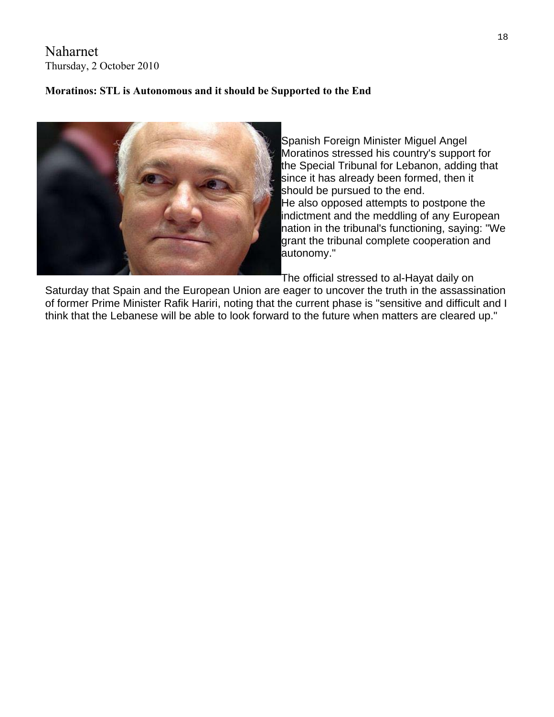Naharnet Thursday, 2 October 2010

# **Moratinos: STL is Autonomous and it should be Supported to the End**



Spanish Foreign Minister Miguel Angel Moratinos stressed his country's support for the Special Tribunal for Lebanon, adding that since it has already been formed, then it should be pursued to the end. He also opposed attempts to postpone the indictment and the meddling of any European nation in the tribunal's functioning, saying: "We grant the tribunal complete cooperation and autonomy."

The official stressed to al-Hayat daily on

Saturday that Spain and the European Union are eager to uncover the truth in the assassination of former Prime Minister Rafik Hariri, noting that the current phase is "sensitive and difficult and I think that the Lebanese will be able to look forward to the future when matters are cleared up."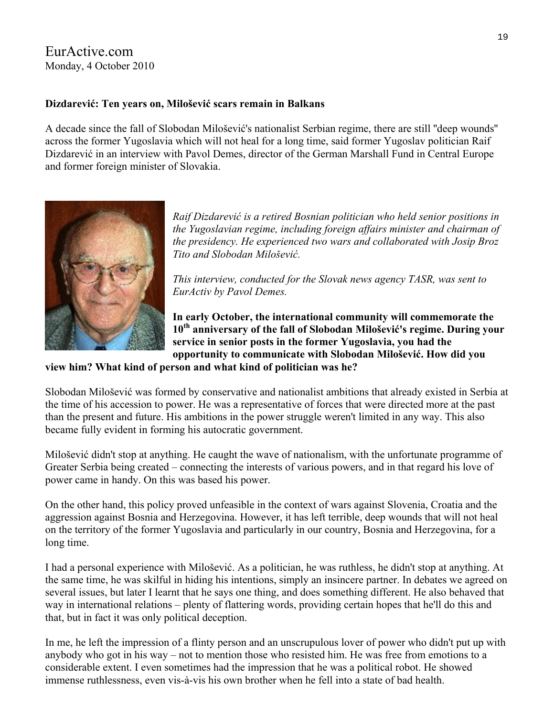# EurActive.com Monday, 4 October 2010

### **Dizdarević: Ten years on, Milošević scars remain in Balkans**

A decade since the fall of Slobodan Milošević's nationalist Serbian regime, there are still ''deep wounds'' across the former Yugoslavia which will not heal for a long time, said former Yugoslav politician Raif Dizdarević in an interview with Pavol Demes, director of the German Marshall Fund in Central Europe and former foreign minister of Slovakia.



*Raif Dizdarević is a retired Bosnian politician who held senior positions in the Yugoslavian regime, including foreign affairs minister and chairman of the presidency. He experienced two wars and collaborated with Josip Broz Tito and Slobodan Milošević.*

*This interview, conducted for the Slovak news agency TASR, was sent to EurActiv by Pavol Demes.*

**In early October, the international community will commemorate the 10th anniversary of the fall of Slobodan Milošević's regime. During your service in senior posts in the former Yugoslavia, you had the opportunity to communicate with Slobodan Milošević. How did you** 

### **view him? What kind of person and what kind of politician was he?**

Slobodan Milošević was formed by conservative and nationalist ambitions that already existed in Serbia at the time of his accession to power. He was a representative of forces that were directed more at the past than the present and future. His ambitions in the power struggle weren't limited in any way. This also became fully evident in forming his autocratic government.

Milošević didn't stop at anything. He caught the wave of nationalism, with the unfortunate programme of Greater Serbia being created – connecting the interests of various powers, and in that regard his love of power came in handy. On this was based his power.

On the other hand, this policy proved unfeasible in the context of wars against Slovenia, Croatia and the aggression against Bosnia and Herzegovina. However, it has left terrible, deep wounds that will not heal on the territory of the former Yugoslavia and particularly in our country, Bosnia and Herzegovina, for a long time.

I had a personal experience with Milošević. As a politician, he was ruthless, he didn't stop at anything. At the same time, he was skilful in hiding his intentions, simply an insincere partner. In debates we agreed on several issues, but later I learnt that he says one thing, and does something different. He also behaved that way in international relations – plenty of flattering words, providing certain hopes that he'll do this and that, but in fact it was only political deception.

In me, he left the impression of a flinty person and an unscrupulous lover of power who didn't put up with anybody who got in his way – not to mention those who resisted him. He was free from emotions to a considerable extent. I even sometimes had the impression that he was a political robot. He showed immense ruthlessness, even vis-à-vis his own brother when he fell into a state of bad health.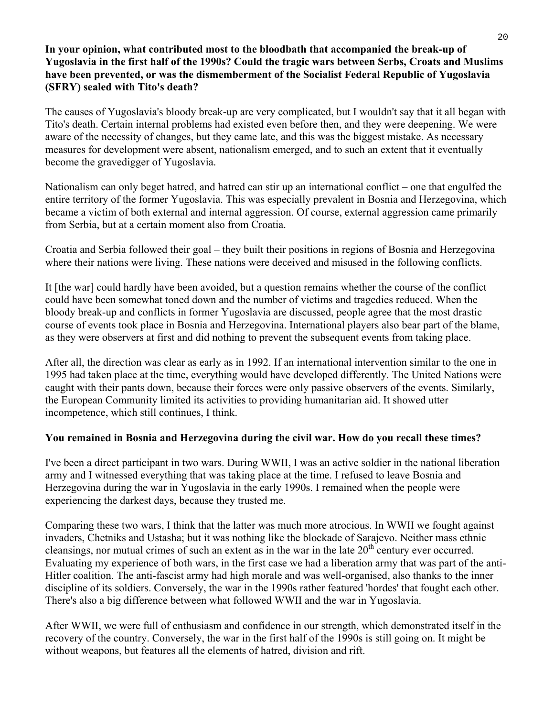### **In your opinion, what contributed most to the bloodbath that accompanied the break-up of Yugoslavia in the first half of the 1990s? Could the tragic wars between Serbs, Croats and Muslims have been prevented, or was the dismemberment of the Socialist Federal Republic of Yugoslavia (SFRY) sealed with Tito's death?**

The causes of Yugoslavia's bloody break-up are very complicated, but I wouldn't say that it all began with Tito's death. Certain internal problems had existed even before then, and they were deepening. We were aware of the necessity of changes, but they came late, and this was the biggest mistake. As necessary measures for development were absent, nationalism emerged, and to such an extent that it eventually become the gravedigger of Yugoslavia.

Nationalism can only beget hatred, and hatred can stir up an international conflict – one that engulfed the entire territory of the former Yugoslavia. This was especially prevalent in Bosnia and Herzegovina, which became a victim of both external and internal aggression. Of course, external aggression came primarily from Serbia, but at a certain moment also from Croatia.

Croatia and Serbia followed their goal – they built their positions in regions of Bosnia and Herzegovina where their nations were living. These nations were deceived and misused in the following conflicts.

It [the war] could hardly have been avoided, but a question remains whether the course of the conflict could have been somewhat toned down and the number of victims and tragedies reduced. When the bloody break-up and conflicts in former Yugoslavia are discussed, people agree that the most drastic course of events took place in Bosnia and Herzegovina. International players also bear part of the blame, as they were observers at first and did nothing to prevent the subsequent events from taking place.

After all, the direction was clear as early as in 1992. If an international intervention similar to the one in 1995 had taken place at the time, everything would have developed differently. The United Nations were caught with their pants down, because their forces were only passive observers of the events. Similarly, the European Community limited its activities to providing humanitarian aid. It showed utter incompetence, which still continues, I think.

# **You remained in Bosnia and Herzegovina during the civil war. How do you recall these times?**

I've been a direct participant in two wars. During WWII, I was an active soldier in the national liberation army and I witnessed everything that was taking place at the time. I refused to leave Bosnia and Herzegovina during the war in Yugoslavia in the early 1990s. I remained when the people were experiencing the darkest days, because they trusted me.

Comparing these two wars, I think that the latter was much more atrocious. In WWII we fought against invaders, Chetniks and Ustasha; but it was nothing like the blockade of Sarajevo. Neither mass ethnic cleansings, nor mutual crimes of such an extent as in the war in the late  $20<sup>th</sup>$  century ever occurred. Evaluating my experience of both wars, in the first case we had a liberation army that was part of the anti-Hitler coalition. The anti-fascist army had high morale and was well-organised, also thanks to the inner discipline of its soldiers. Conversely, the war in the 1990s rather featured 'hordes' that fought each other. There's also a big difference between what followed WWII and the war in Yugoslavia.

After WWII, we were full of enthusiasm and confidence in our strength, which demonstrated itself in the recovery of the country. Conversely, the war in the first half of the 1990s is still going on. It might be without weapons, but features all the elements of hatred, division and rift.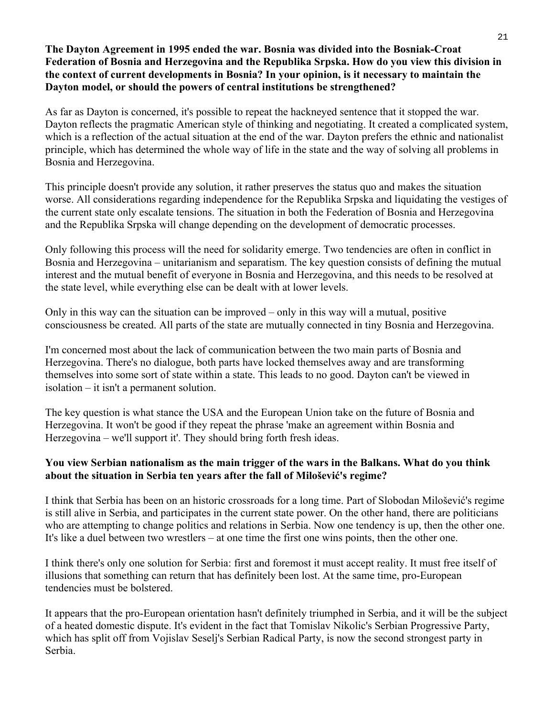# **The Dayton Agreement in 1995 ended the war. Bosnia was divided into the Bosniak-Croat Federation of Bosnia and Herzegovina and the Republika Srpska. How do you view this division in the context of current developments in Bosnia? In your opinion, is it necessary to maintain the Dayton model, or should the powers of central institutions be strengthened?**

As far as Dayton is concerned, it's possible to repeat the hackneyed sentence that it stopped the war. Dayton reflects the pragmatic American style of thinking and negotiating. It created a complicated system, which is a reflection of the actual situation at the end of the war. Dayton prefers the ethnic and nationalist principle, which has determined the whole way of life in the state and the way of solving all problems in Bosnia and Herzegovina.

This principle doesn't provide any solution, it rather preserves the status quo and makes the situation worse. All considerations regarding independence for the Republika Srpska and liquidating the vestiges of the current state only escalate tensions. The situation in both the Federation of Bosnia and Herzegovina and the Republika Srpska will change depending on the development of democratic processes.

Only following this process will the need for solidarity emerge. Two tendencies are often in conflict in Bosnia and Herzegovina – unitarianism and separatism. The key question consists of defining the mutual interest and the mutual benefit of everyone in Bosnia and Herzegovina, and this needs to be resolved at the state level, while everything else can be dealt with at lower levels.

Only in this way can the situation can be improved – only in this way will a mutual, positive consciousness be created. All parts of the state are mutually connected in tiny Bosnia and Herzegovina.

I'm concerned most about the lack of communication between the two main parts of Bosnia and Herzegovina. There's no dialogue, both parts have locked themselves away and are transforming themselves into some sort of state within a state. This leads to no good. Dayton can't be viewed in isolation – it isn't a permanent solution.

The key question is what stance the USA and the European Union take on the future of Bosnia and Herzegovina. It won't be good if they repeat the phrase 'make an agreement within Bosnia and Herzegovina – we'll support it'. They should bring forth fresh ideas.

# **You view Serbian nationalism as the main trigger of the wars in the Balkans. What do you think about the situation in Serbia ten years after the fall of Milošević's regime?**

I think that Serbia has been on an historic crossroads for a long time. Part of Slobodan Milošević's regime is still alive in Serbia, and participates in the current state power. On the other hand, there are politicians who are attempting to change politics and relations in Serbia. Now one tendency is up, then the other one. It's like a duel between two wrestlers – at one time the first one wins points, then the other one.

I think there's only one solution for Serbia: first and foremost it must accept reality. It must free itself of illusions that something can return that has definitely been lost. At the same time, pro-European tendencies must be bolstered.

It appears that the pro-European orientation hasn't definitely triumphed in Serbia, and it will be the subject of a heated domestic dispute. It's evident in the fact that Tomislav Nikolic's Serbian Progressive Party, which has split off from Vojislav Seselj's Serbian Radical Party, is now the second strongest party in Serbia.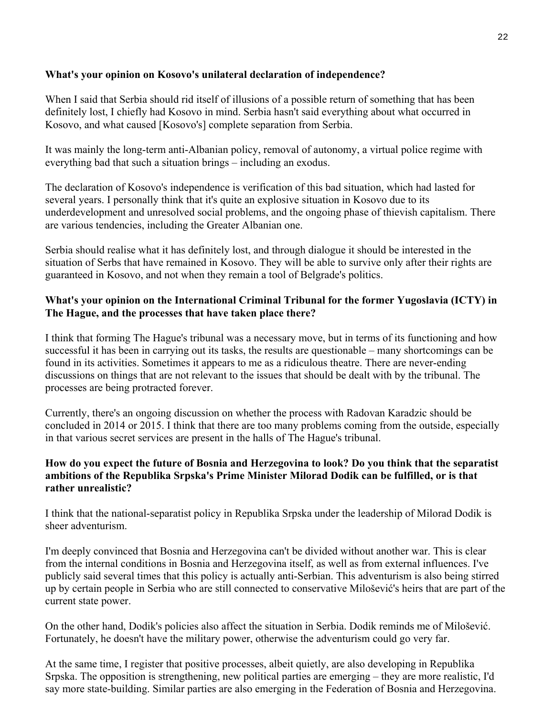# **What's your opinion on Kosovo's unilateral declaration of independence?**

When I said that Serbia should rid itself of illusions of a possible return of something that has been definitely lost, I chiefly had Kosovo in mind. Serbia hasn't said everything about what occurred in Kosovo, and what caused [Kosovo's] complete separation from Serbia.

It was mainly the long-term anti-Albanian policy, removal of autonomy, a virtual police regime with everything bad that such a situation brings – including an exodus.

The declaration of Kosovo's independence is verification of this bad situation, which had lasted for several years. I personally think that it's quite an explosive situation in Kosovo due to its underdevelopment and unresolved social problems, and the ongoing phase of thievish capitalism. There are various tendencies, including the Greater Albanian one.

Serbia should realise what it has definitely lost, and through dialogue it should be interested in the situation of Serbs that have remained in Kosovo. They will be able to survive only after their rights are guaranteed in Kosovo, and not when they remain a tool of Belgrade's politics.

# **What's your opinion on the International Criminal Tribunal for the former Yugoslavia (ICTY) in The Hague, and the processes that have taken place there?**

I think that forming The Hague's tribunal was a necessary move, but in terms of its functioning and how successful it has been in carrying out its tasks, the results are questionable – many shortcomings can be found in its activities. Sometimes it appears to me as a ridiculous theatre. There are never-ending discussions on things that are not relevant to the issues that should be dealt with by the tribunal. The processes are being protracted forever.

Currently, there's an ongoing discussion on whether the process with Radovan Karadzic should be concluded in 2014 or 2015. I think that there are too many problems coming from the outside, especially in that various secret services are present in the halls of The Hague's tribunal.

# **How do you expect the future of Bosnia and Herzegovina to look? Do you think that the separatist ambitions of the Republika Srpska's Prime Minister Milorad Dodik can be fulfilled, or is that rather unrealistic?**

I think that the national-separatist policy in Republika Srpska under the leadership of Milorad Dodik is sheer adventurism.

I'm deeply convinced that Bosnia and Herzegovina can't be divided without another war. This is clear from the internal conditions in Bosnia and Herzegovina itself, as well as from external influences. I've publicly said several times that this policy is actually anti-Serbian. This adventurism is also being stirred up by certain people in Serbia who are still connected to conservative Milošević's heirs that are part of the current state power.

On the other hand, Dodik's policies also affect the situation in Serbia. Dodik reminds me of Milošević. Fortunately, he doesn't have the military power, otherwise the adventurism could go very far.

At the same time, I register that positive processes, albeit quietly, are also developing in Republika Srpska. The opposition is strengthening, new political parties are emerging – they are more realistic, I'd say more state-building. Similar parties are also emerging in the Federation of Bosnia and Herzegovina.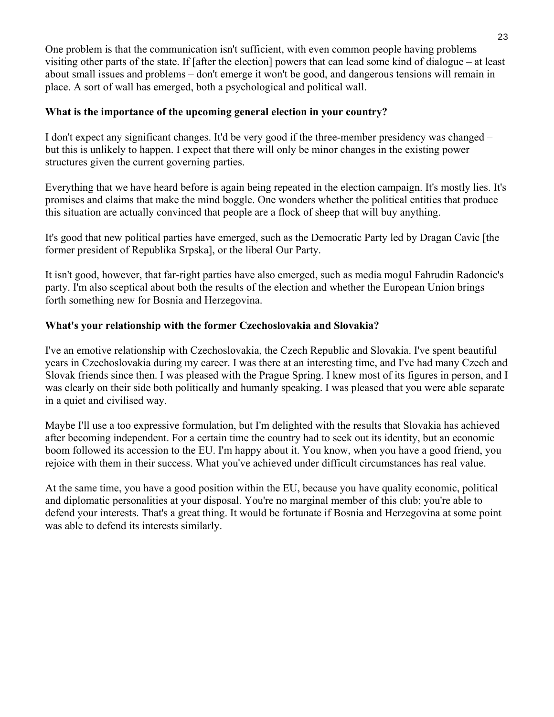One problem is that the communication isn't sufficient, with even common people having problems visiting other parts of the state. If [after the election] powers that can lead some kind of dialogue – at least about small issues and problems – don't emerge it won't be good, and dangerous tensions will remain in place. A sort of wall has emerged, both a psychological and political wall.

# **What is the importance of the upcoming general election in your country?**

I don't expect any significant changes. It'd be very good if the three-member presidency was changed – but this is unlikely to happen. I expect that there will only be minor changes in the existing power structures given the current governing parties.

Everything that we have heard before is again being repeated in the election campaign. It's mostly lies. It's promises and claims that make the mind boggle. One wonders whether the political entities that produce this situation are actually convinced that people are a flock of sheep that will buy anything.

It's good that new political parties have emerged, such as the Democratic Party led by Dragan Cavic [the former president of Republika Srpska], or the liberal Our Party.

It isn't good, however, that far-right parties have also emerged, such as media mogul Fahrudin Radoncic's party. I'm also sceptical about both the results of the election and whether the European Union brings forth something new for Bosnia and Herzegovina.

# **What's your relationship with the former Czechoslovakia and Slovakia?**

I've an emotive relationship with Czechoslovakia, the Czech Republic and Slovakia. I've spent beautiful years in Czechoslovakia during my career. I was there at an interesting time, and I've had many Czech and Slovak friends since then. I was pleased with the Prague Spring. I knew most of its figures in person, and I was clearly on their side both politically and humanly speaking. I was pleased that you were able separate in a quiet and civilised way.

Maybe I'll use a too expressive formulation, but I'm delighted with the results that Slovakia has achieved after becoming independent. For a certain time the country had to seek out its identity, but an economic boom followed its accession to the EU. I'm happy about it. You know, when you have a good friend, you rejoice with them in their success. What you've achieved under difficult circumstances has real value.

At the same time, you have a good position within the EU, because you have quality economic, political and diplomatic personalities at your disposal. You're no marginal member of this club; you're able to defend your interests. That's a great thing. It would be fortunate if Bosnia and Herzegovina at some point was able to defend its interests similarly.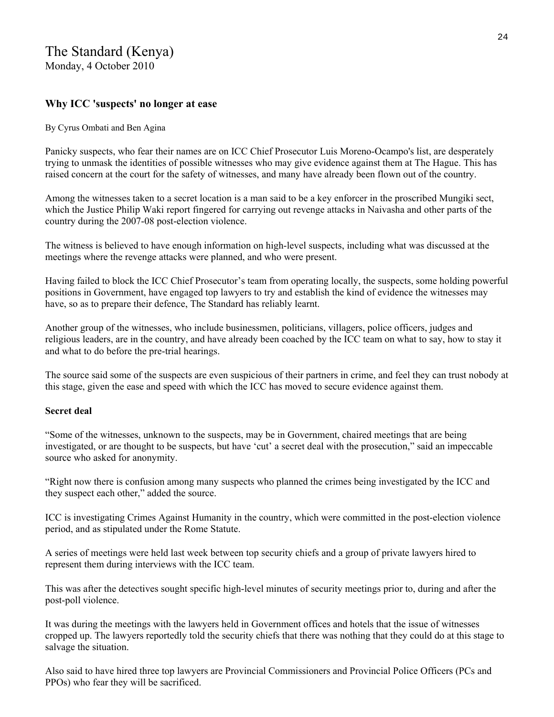# The Standard (Kenya)

Monday, 4 October 2010

### **Why ICC 'suspects' no longer at ease**

#### By Cyrus Ombati and Ben Agina

Panicky suspects, who fear their names are on ICC Chief Prosecutor Luis Moreno-Ocampo's list, are desperately trying to unmask the identities of possible witnesses who may give evidence against them at The Hague. This has raised concern at the court for the safety of witnesses, and many have already been flown out of the country.

Among the witnesses taken to a secret location is a man said to be a key enforcer in the proscribed Mungiki sect, which the Justice Philip Waki report fingered for carrying out revenge attacks in Naivasha and other parts of the country during the 2007-08 post-election violence.

The witness is believed to have enough information on high-level suspects, including what was discussed at the meetings where the revenge attacks were planned, and who were present.

Having failed to block the ICC Chief Prosecutor's team from operating locally, the suspects, some holding powerful positions in Government, have engaged top lawyers to try and establish the kind of evidence the witnesses may have, so as to prepare their defence, The Standard has reliably learnt.

Another group of the witnesses, who include businessmen, politicians, villagers, police officers, judges and religious leaders, are in the country, and have already been coached by the ICC team on what to say, how to stay it and what to do before the pre-trial hearings.

The source said some of the suspects are even suspicious of their partners in crime, and feel they can trust nobody at this stage, given the ease and speed with which the ICC has moved to secure evidence against them.

#### **Secret deal**

"Some of the witnesses, unknown to the suspects, may be in Government, chaired meetings that are being investigated, or are thought to be suspects, but have 'cut' a secret deal with the prosecution," said an impeccable source who asked for anonymity.

"Right now there is confusion among many suspects who planned the crimes being investigated by the ICC and they suspect each other," added the source.

ICC is investigating Crimes Against Humanity in the country, which were committed in the post-election violence period, and as stipulated under the Rome Statute.

A series of meetings were held last week between top security chiefs and a group of private lawyers hired to represent them during interviews with the ICC team.

This was after the detectives sought specific high-level minutes of security meetings prior to, during and after the post-poll violence.

It was during the meetings with the lawyers held in Government offices and hotels that the issue of witnesses cropped up. The lawyers reportedly told the security chiefs that there was nothing that they could do at this stage to salvage the situation.

Also said to have hired three top lawyers are Provincial Commissioners and Provincial Police Officers (PCs and PPOs) who fear they will be sacrificed.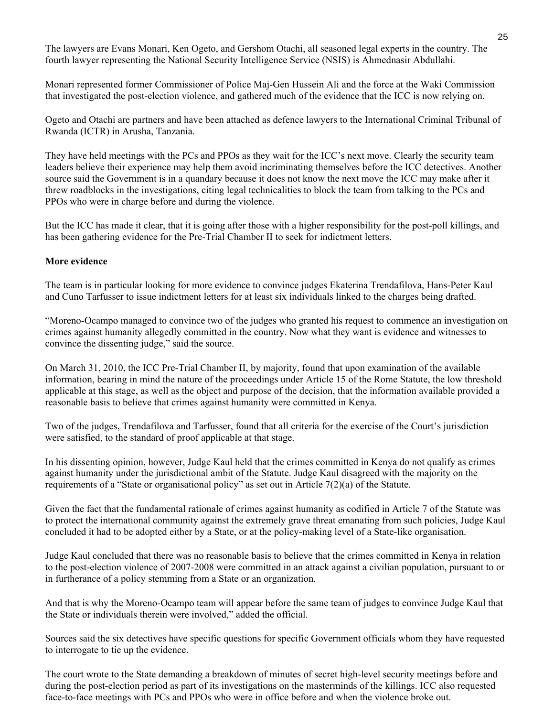The lawyers are Evans Monari, Ken Ogeto, and Gershom Otachi, all seasoned legal experts in the country. The fourth lawyer representing the National Security Intelligence Service (NSIS) is Ahmednasir Abdullahi.

Monari represented former Commissioner of Police Maj-Gen Hussein Ali and the force at the Waki Commission that investigated the post-election violence, and gathered much of the evidence that the ICC is now relying on.

Ogeto and Otachi are partners and have been attached as defence lawyers to the International Criminal Tribunal of Rwanda (ICTR) in Arusha, Tanzania.

They have held meetings with the PCs and PPOs as they wait for the ICC's next move. Clearly the security team leaders believe their experience may help them avoid incriminating themselves before the ICC detectives. Another source said the Government is in a quandary because it does not know the next move the ICC may make after it threw roadblocks in the investigations, citing legal technicalities to block the team from talking to the PCs and PPOs who were in charge before and during the violence.

But the ICC has made it clear, that it is going after those with a higher responsibility for the post-poll killings, and has been gathering evidence for the Pre-Trial Chamber II to seek for indictment letters.

#### **More evidence**

The team is in particular looking for more evidence to convince judges Ekaterina Trendafilova, Hans-Peter Kaul and Cuno Tarfusser to issue indictment letters for at least six individuals linked to the charges being drafted.

"Moreno-Ocampo managed to convince two of the judges who granted his request to commence an investigation on crimes against humanity allegedly committed in the country. Now what they want is evidence and witnesses to convince the dissenting judge," said the source.

On March 31, 2010, the ICC Pre-Trial Chamber II, by majority, found that upon examination of the available information, bearing in mind the nature of the proceedings under Article 15 of the Rome Statute, the low threshold applicable at this stage, as well as the object and purpose of the decision, that the information available provided a reasonable basis to believe that crimes against humanity were committed in Kenya.

Two of the judges, Trendafilova and Tarfusser, found that all criteria for the exercise of the Court's jurisdiction were satisfied, to the standard of proof applicable at that stage.

In his dissenting opinion, however, Judge Kaul held that the crimes committed in Kenya do not qualify as crimes against humanity under the jurisdictional ambit of the Statute. Judge Kaul disagreed with the majority on the requirements of a "State or organisational policy" as set out in Article  $7(2)(a)$  of the Statute.

Given the fact that the fundamental rationale of crimes against humanity as codified in Article 7 of the Statute was to protect the international community against the extremely grave threat emanating from such policies, Judge Kaul concluded it had to be adopted either by a State, or at the policy-making level of a State-like organisation.

Judge Kaul concluded that there was no reasonable basis to believe that the crimes committed in Kenya in relation to the post-election violence of 2007-2008 were committed in an attack against a civilian population, pursuant to or in furtherance of a policy stemming from a State or an organization.

And that is why the Moreno-Ocampo team will appear before the same team of judges to convince Judge Kaul that the State or individuals therein were involved," added the official.

Sources said the six detectives have specific questions for specific Government officials whom they have requested to interrogate to tie up the evidence.

The court wrote to the State demanding a breakdown of minutes of secret high-level security meetings before and during the post-election period as part of its investigations on the masterminds of the killings. ICC also requested face-to-face meetings with PCs and PPOs who were in office before and when the violence broke out.